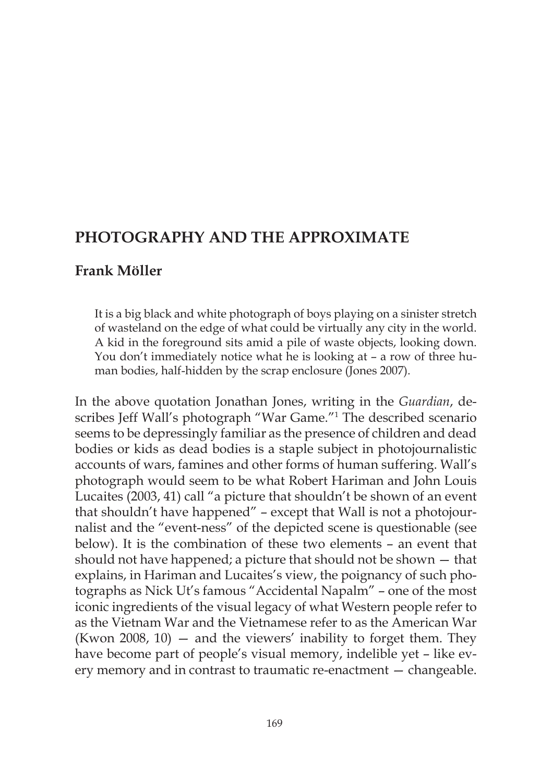# **Frank Möller**

It is a big black and white photograph of boys playing on a sinister stretch of wasteland on the edge of what could be virtually any city in the world. A kid in the foreground sits amid a pile of waste objects, looking down. You don't immediately notice what he is looking at – a row of three human bodies, half-hidden by the scrap enclosure (Jones 2007).

In the above quotation Jonathan Jones, writing in the *Guardian*, describes Jeff Wall's photograph "War Game."1 The described scenario seems to be depressingly familiar as the presence of children and dead bodies or kids as dead bodies is a staple subject in photojournalistic accounts of wars, famines and other forms of human suffering. Wall's photograph would seem to be what Robert Hariman and John Louis Lucaites (2003, 41) call "a picture that shouldn't be shown of an event that shouldn't have happened" – except that Wall is not a photojournalist and the "event-ness" of the depicted scene is questionable (see below). It is the combination of these two elements – an event that should not have happened; a picture that should not be shown — that explains, in Hariman and Lucaites's view, the poignancy of such photographs as Nick Ut's famous "Accidental Napalm" – one of the most iconic ingredients of the visual legacy of what Western people refer to as the Vietnam War and the Vietnamese refer to as the American War (Kwon 2008, 10)  $-$  and the viewers' inability to forget them. They have become part of people's visual memory, indelible yet – like every memory and in contrast to traumatic re-enactment — changeable.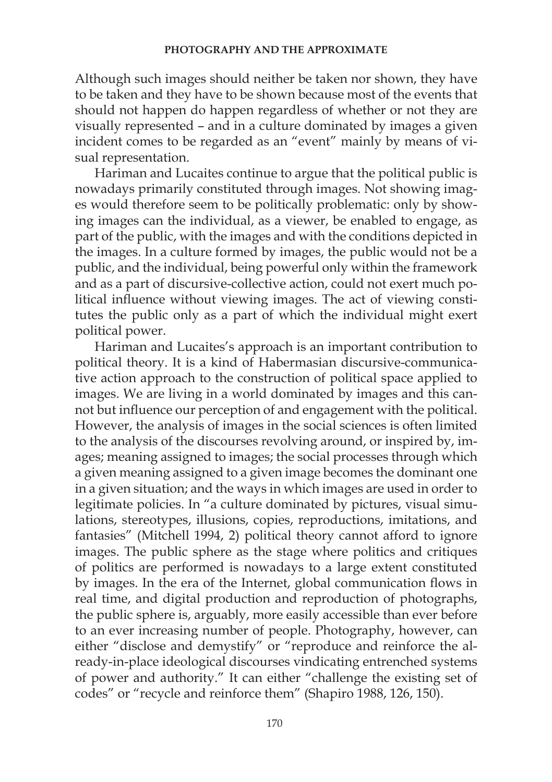Although such images should neither be taken nor shown, they have to be taken and they have to be shown because most of the events that should not happen do happen regardless of whether or not they are visually represented – and in a culture dominated by images a given incident comes to be regarded as an "event" mainly by means of visual representation.

Hariman and Lucaites continue to argue that the political public is nowadays primarily constituted through images. Not showing images would therefore seem to be politically problematic: only by showing images can the individual, as a viewer, be enabled to engage, as part of the public, with the images and with the conditions depicted in the images. In a culture formed by images, the public would not be a public, and the individual, being powerful only within the framework and as a part of discursive-collective action, could not exert much political influence without viewing images. The act of viewing constitutes the public only as a part of which the individual might exert political power.

Hariman and Lucaites's approach is an important contribution to political theory. It is a kind of Habermasian discursive-communicative action approach to the construction of political space applied to images. We are living in a world dominated by images and this cannot but influence our perception of and engagement with the political. However, the analysis of images in the social sciences is often limited to the analysis of the discourses revolving around, or inspired by, images; meaning assigned to images; the social processes through which a given meaning assigned to a given image becomes the dominant one in a given situation; and the ways in which images are used in order to legitimate policies. In "a culture dominated by pictures, visual simulations, stereotypes, illusions, copies, reproductions, imitations, and fantasies" (Mitchell 1994, 2) political theory cannot afford to ignore images. The public sphere as the stage where politics and critiques of politics are performed is nowadays to a large extent constituted by images. In the era of the Internet, global communication flows in real time, and digital production and reproduction of photographs, the public sphere is, arguably, more easily accessible than ever before to an ever increasing number of people. Photography, however, can either "disclose and demystify" or "reproduce and reinforce the already-in-place ideological discourses vindicating entrenched systems of power and authority." It can either "challenge the existing set of codes" or "recycle and reinforce them" (Shapiro 1988, 126, 150).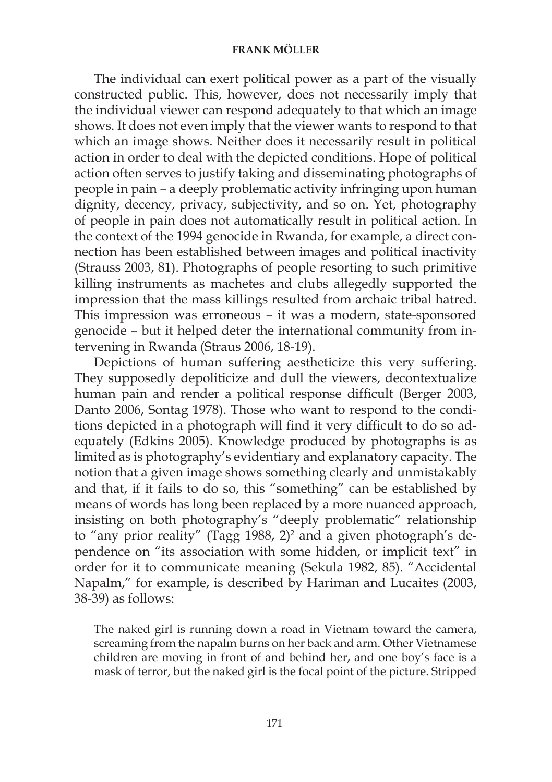The individual can exert political power as a part of the visually constructed public. This, however, does not necessarily imply that the individual viewer can respond adequately to that which an image shows. It does not even imply that the viewer wants to respond to that which an image shows. Neither does it necessarily result in political action in order to deal with the depicted conditions. Hope of political action often serves to justify taking and disseminating photographs of people in pain – a deeply problematic activity infringing upon human dignity, decency, privacy, subjectivity, and so on. Yet, photography of people in pain does not automatically result in political action. In the context of the 1994 genocide in Rwanda, for example, a direct connection has been established between images and political inactivity (Strauss 2003, 81). Photographs of people resorting to such primitive killing instruments as machetes and clubs allegedly supported the impression that the mass killings resulted from archaic tribal hatred. This impression was erroneous – it was a modern, state-sponsored genocide – but it helped deter the international community from intervening in Rwanda (Straus 2006, 18-19).

Depictions of human suffering aestheticize this very suffering. They supposedly depoliticize and dull the viewers, decontextualize human pain and render a political response difficult (Berger 2003, Danto 2006, Sontag 1978). Those who want to respond to the conditions depicted in a photograph will find it very difficult to do so adequately (Edkins 2005). Knowledge produced by photographs is as limited as is photography's evidentiary and explanatory capacity. The notion that a given image shows something clearly and unmistakably and that, if it fails to do so, this "something" can be established by means of words has long been replaced by a more nuanced approach, insisting on both photography's "deeply problematic" relationship to "any prior reality" (Tagg 1988, 2)<sup>2</sup> and a given photograph's dependence on "its association with some hidden, or implicit text" in order for it to communicate meaning (Sekula 1982, 85). "Accidental Napalm," for example, is described by Hariman and Lucaites (2003, 38-39) as follows:

The naked girl is running down a road in Vietnam toward the camera, screaming from the napalm burns on her back and arm. Other Vietnamese children are moving in front of and behind her, and one boy's face is a mask of terror, but the naked girl is the focal point of the picture. Stripped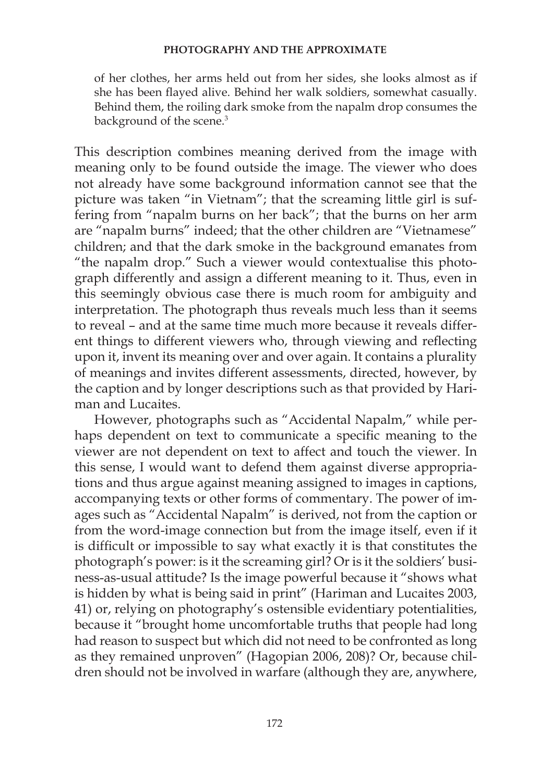of her clothes, her arms held out from her sides, she looks almost as if she has been flayed alive. Behind her walk soldiers, somewhat casually. Behind them, the roiling dark smoke from the napalm drop consumes the background of the scene.<sup>3</sup>

This description combines meaning derived from the image with meaning only to be found outside the image. The viewer who does not already have some background information cannot see that the picture was taken "in Vietnam"; that the screaming little girl is suffering from "napalm burns on her back"; that the burns on her arm are "napalm burns" indeed; that the other children are "Vietnamese" children; and that the dark smoke in the background emanates from "the napalm drop." Such a viewer would contextualise this photograph differently and assign a different meaning to it. Thus, even in this seemingly obvious case there is much room for ambiguity and interpretation. The photograph thus reveals much less than it seems to reveal – and at the same time much more because it reveals different things to different viewers who, through viewing and reflecting upon it, invent its meaning over and over again. It contains a plurality of meanings and invites different assessments, directed, however, by the caption and by longer descriptions such as that provided by Hariman and Lucaites.

However, photographs such as "Accidental Napalm," while perhaps dependent on text to communicate a specific meaning to the viewer are not dependent on text to affect and touch the viewer. In this sense, I would want to defend them against diverse appropriations and thus argue against meaning assigned to images in captions, accompanying texts or other forms of commentary. The power of images such as "Accidental Napalm" is derived, not from the caption or from the word-image connection but from the image itself, even if it is difficult or impossible to say what exactly it is that constitutes the photograph's power: is it the screaming girl? Or is it the soldiers' business-as-usual attitude? Is the image powerful because it "shows what is hidden by what is being said in print" (Hariman and Lucaites 2003, 41) or, relying on photography's ostensible evidentiary potentialities, because it "brought home uncomfortable truths that people had long had reason to suspect but which did not need to be confronted as long as they remained unproven" (Hagopian 2006, 208)? Or, because children should not be involved in warfare (although they are, anywhere,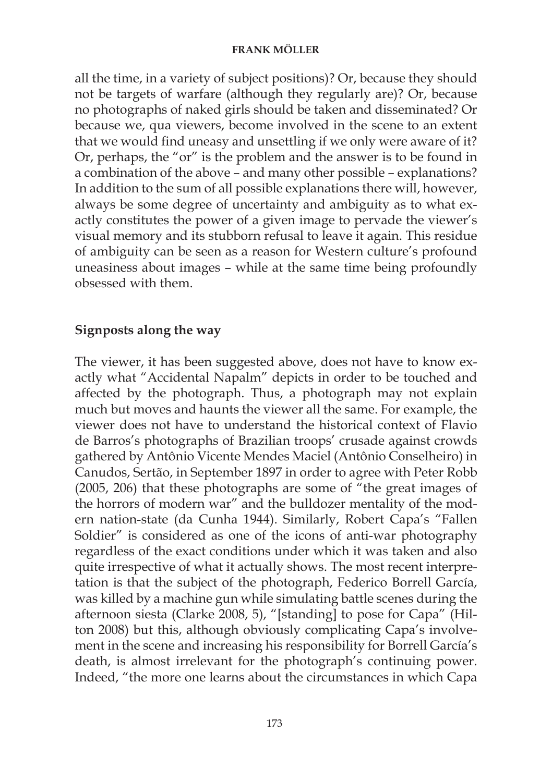all the time, in a variety of subject positions)? Or, because they should not be targets of warfare (although they regularly are)? Or, because no photographs of naked girls should be taken and disseminated? Or because we, qua viewers, become involved in the scene to an extent that we would find uneasy and unsettling if we only were aware of it? Or, perhaps, the "or" is the problem and the answer is to be found in a combination of the above – and many other possible – explanations? In addition to the sum of all possible explanations there will, however, always be some degree of uncertainty and ambiguity as to what exactly constitutes the power of a given image to pervade the viewer's visual memory and its stubborn refusal to leave it again. This residue of ambiguity can be seen as a reason for Western culture's profound uneasiness about images – while at the same time being profoundly obsessed with them.

# **Signposts along the way**

The viewer, it has been suggested above, does not have to know exactly what "Accidental Napalm" depicts in order to be touched and affected by the photograph. Thus, a photograph may not explain much but moves and haunts the viewer all the same. For example, the viewer does not have to understand the historical context of Flavio de Barros's photographs of Brazilian troops' crusade against crowds gathered by Antônio Vicente Mendes Maciel (Antônio Conselheiro) in Canudos, Sertão, in September 1897 in order to agree with Peter Robb (2005, 206) that these photographs are some of "the great images of the horrors of modern war" and the bulldozer mentality of the modern nation-state (da Cunha 1944). Similarly, Robert Capa's "Fallen Soldier" is considered as one of the icons of anti-war photography regardless of the exact conditions under which it was taken and also quite irrespective of what it actually shows. The most recent interpretation is that the subject of the photograph, Federico Borrell García, was killed by a machine gun while simulating battle scenes during the afternoon siesta (Clarke 2008, 5), "[standing] to pose for Capa" (Hilton 2008) but this, although obviously complicating Capa's involvement in the scene and increasing his responsibility for Borrell García's death, is almost irrelevant for the photograph's continuing power. Indeed, "the more one learns about the circumstances in which Capa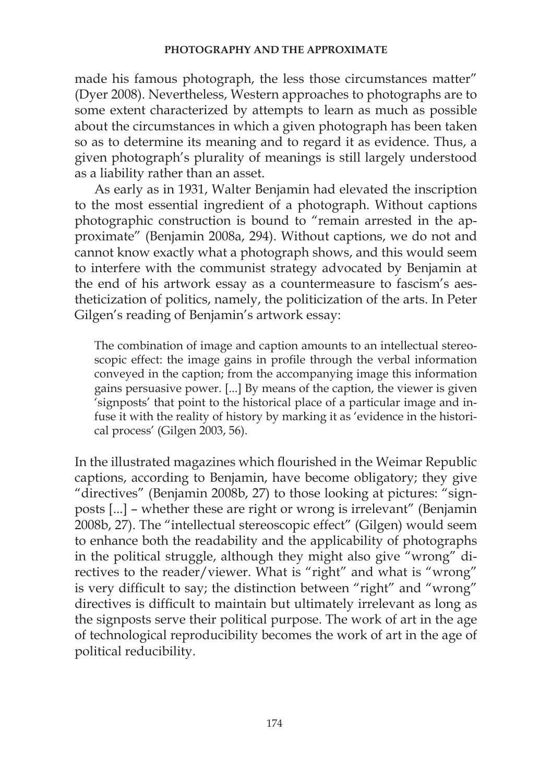made his famous photograph, the less those circumstances matter" (Dyer 2008). Nevertheless, Western approaches to photographs are to some extent characterized by attempts to learn as much as possible about the circumstances in which a given photograph has been taken so as to determine its meaning and to regard it as evidence. Thus, a given photograph's plurality of meanings is still largely understood as a liability rather than an asset.

As early as in 1931, Walter Benjamin had elevated the inscription to the most essential ingredient of a photograph. Without captions photographic construction is bound to "remain arrested in the approximate" (Benjamin 2008a, 294). Without captions, we do not and cannot know exactly what a photograph shows, and this would seem to interfere with the communist strategy advocated by Benjamin at the end of his artwork essay as a countermeasure to fascism's aestheticization of politics, namely, the politicization of the arts. In Peter Gilgen's reading of Benjamin's artwork essay:

The combination of image and caption amounts to an intellectual stereoscopic effect: the image gains in profile through the verbal information conveyed in the caption; from the accompanying image this information gains persuasive power. [...] By means of the caption, the viewer is given 'signposts' that point to the historical place of a particular image and infuse it with the reality of history by marking it as 'evidence in the historical process' (Gilgen 2003, 56).

In the illustrated magazines which flourished in the Weimar Republic captions, according to Benjamin, have become obligatory; they give "directives" (Benjamin 2008b, 27) to those looking at pictures: "signposts [...] – whether these are right or wrong is irrelevant" (Benjamin 2008b, 27). The "intellectual stereoscopic effect" (Gilgen) would seem to enhance both the readability and the applicability of photographs in the political struggle, although they might also give "wrong" directives to the reader/viewer. What is "right" and what is "wrong" is very difficult to say; the distinction between "right" and "wrong" directives is difficult to maintain but ultimately irrelevant as long as the signposts serve their political purpose. The work of art in the age of technological reproducibility becomes the work of art in the age of political reducibility.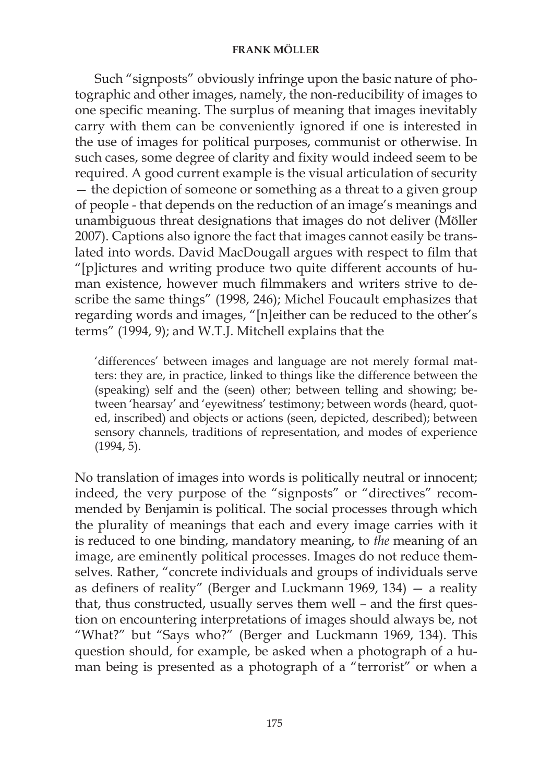Such "signposts" obviously infringe upon the basic nature of photographic and other images, namely, the non-reducibility of images to one specific meaning. The surplus of meaning that images inevitably carry with them can be conveniently ignored if one is interested in the use of images for political purposes, communist or otherwise. In such cases, some degree of clarity and fixity would indeed seem to be required. A good current example is the visual articulation of security — the depiction of someone or something as a threat to a given group of people - that depends on the reduction of an image's meanings and unambiguous threat designations that images do not deliver (Möller 2007). Captions also ignore the fact that images cannot easily be translated into words. David MacDougall argues with respect to film that "[p]ictures and writing produce two quite different accounts of human existence, however much filmmakers and writers strive to describe the same things" (1998, 246); Michel Foucault emphasizes that regarding words and images, "[n]either can be reduced to the other's terms" (1994, 9); and W.T.J. Mitchell explains that the

'differences' between images and language are not merely formal matters: they are, in practice, linked to things like the difference between the (speaking) self and the (seen) other; between telling and showing; between 'hearsay' and 'eyewitness' testimony; between words (heard, quoted, inscribed) and objects or actions (seen, depicted, described); between sensory channels, traditions of representation, and modes of experience (1994, 5).

No translation of images into words is politically neutral or innocent; indeed, the very purpose of the "signposts" or "directives" recommended by Benjamin is political. The social processes through which the plurality of meanings that each and every image carries with it is reduced to one binding, mandatory meaning, to *the* meaning of an image, are eminently political processes. Images do not reduce themselves. Rather, "concrete individuals and groups of individuals serve as definers of reality" (Berger and Luckmann 1969, 134) — a reality that, thus constructed, usually serves them well – and the first question on encountering interpretations of images should always be, not "What?" but "Says who?" (Berger and Luckmann 1969, 134). This question should, for example, be asked when a photograph of a human being is presented as a photograph of a "terrorist" or when a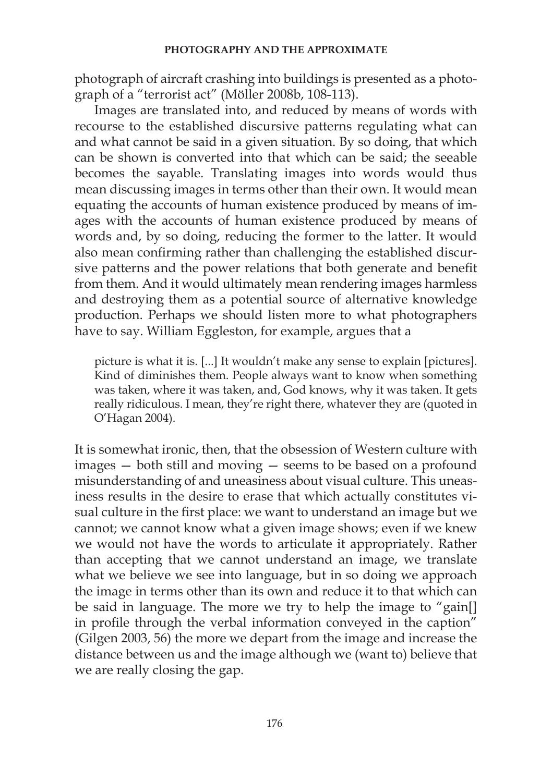photograph of aircraft crashing into buildings is presented as a photograph of a "terrorist act" (Möller 2008b, 108-113).

Images are translated into, and reduced by means of words with recourse to the established discursive patterns regulating what can and what cannot be said in a given situation. By so doing, that which can be shown is converted into that which can be said; the seeable becomes the sayable. Translating images into words would thus mean discussing images in terms other than their own. It would mean equating the accounts of human existence produced by means of images with the accounts of human existence produced by means of words and, by so doing, reducing the former to the latter. It would also mean confirming rather than challenging the established discursive patterns and the power relations that both generate and benefit from them. And it would ultimately mean rendering images harmless and destroying them as a potential source of alternative knowledge production. Perhaps we should listen more to what photographers have to say. William Eggleston, for example, argues that a

picture is what it is. [...] It wouldn't make any sense to explain [pictures]. Kind of diminishes them. People always want to know when something was taken, where it was taken, and, God knows, why it was taken. It gets really ridiculous. I mean, they're right there, whatever they are (quoted in O'Hagan 2004).

It is somewhat ironic, then, that the obsession of Western culture with images — both still and moving — seems to be based on a profound misunderstanding of and uneasiness about visual culture. This uneasiness results in the desire to erase that which actually constitutes visual culture in the first place: we want to understand an image but we cannot; we cannot know what a given image shows; even if we knew we would not have the words to articulate it appropriately. Rather than accepting that we cannot understand an image, we translate what we believe we see into language, but in so doing we approach the image in terms other than its own and reduce it to that which can be said in language. The more we try to help the image to "gain[] in profile through the verbal information conveyed in the caption" (Gilgen 2003, 56) the more we depart from the image and increase the distance between us and the image although we (want to) believe that we are really closing the gap.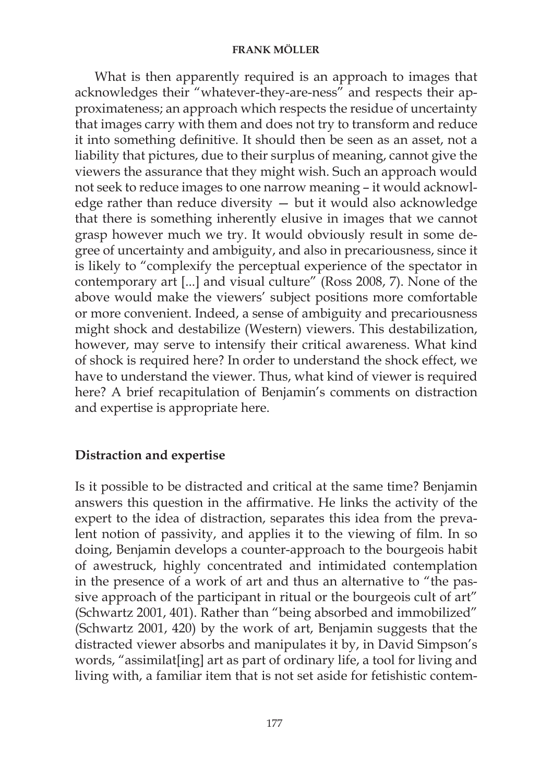What is then apparently required is an approach to images that acknowledges their "whatever-they-are-ness" and respects their approximateness; an approach which respects the residue of uncertainty that images carry with them and does not try to transform and reduce it into something definitive. It should then be seen as an asset, not a liability that pictures, due to their surplus of meaning, cannot give the viewers the assurance that they might wish. Such an approach would not seek to reduce images to one narrow meaning – it would acknowledge rather than reduce diversity — but it would also acknowledge that there is something inherently elusive in images that we cannot grasp however much we try. It would obviously result in some degree of uncertainty and ambiguity, and also in precariousness, since it is likely to "complexify the perceptual experience of the spectator in contemporary art [...] and visual culture" (Ross 2008, 7). None of the above would make the viewers' subject positions more comfortable or more convenient. Indeed, a sense of ambiguity and precariousness might shock and destabilize (Western) viewers. This destabilization, however, may serve to intensify their critical awareness. What kind of shock is required here? In order to understand the shock effect, we have to understand the viewer. Thus, what kind of viewer is required here? A brief recapitulation of Benjamin's comments on distraction and expertise is appropriate here.

# **Distraction and expertise**

Is it possible to be distracted and critical at the same time? Benjamin answers this question in the affirmative. He links the activity of the expert to the idea of distraction, separates this idea from the prevalent notion of passivity, and applies it to the viewing of film. In so doing, Benjamin develops a counter-approach to the bourgeois habit of awestruck, highly concentrated and intimidated contemplation in the presence of a work of art and thus an alternative to "the passive approach of the participant in ritual or the bourgeois cult of art" (Schwartz 2001, 401). Rather than "being absorbed and immobilized" (Schwartz 2001, 420) by the work of art, Benjamin suggests that the distracted viewer absorbs and manipulates it by, in David Simpson's words, "assimilat[ing] art as part of ordinary life, a tool for living and living with, a familiar item that is not set aside for fetishistic contem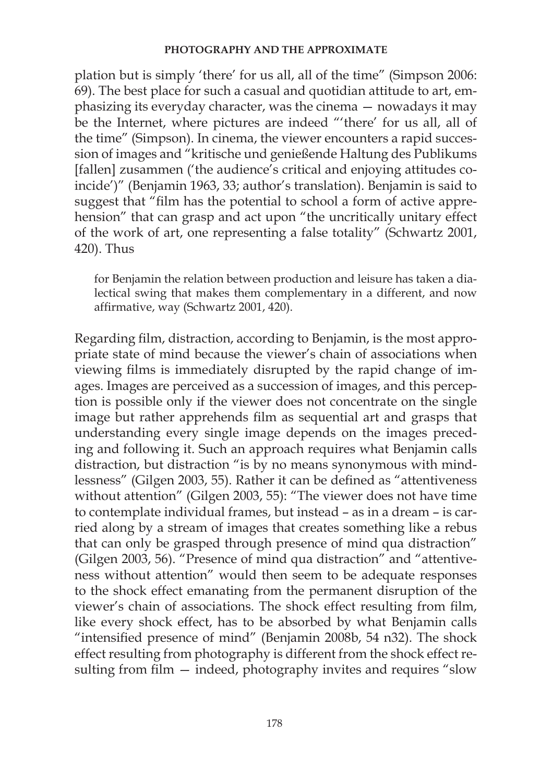plation but is simply 'there' for us all, all of the time" (Simpson 2006: 69). The best place for such a casual and quotidian attitude to art, emphasizing its everyday character, was the cinema — nowadays it may be the Internet, where pictures are indeed "'there' for us all, all of the time" (Simpson). In cinema, the viewer encounters a rapid succession of images and "kritische und genießende Haltung des Publikums [fallen] zusammen ('the audience's critical and enjoying attitudes coincide')" (Benjamin 1963, 33; author's translation). Benjamin is said to suggest that "film has the potential to school a form of active apprehension" that can grasp and act upon "the uncritically unitary effect of the work of art, one representing a false totality" (Schwartz 2001, 420). Thus

for Benjamin the relation between production and leisure has taken a dialectical swing that makes them complementary in a different, and now affirmative, way (Schwartz 2001, 420).

Regarding film, distraction, according to Benjamin, is the most appropriate state of mind because the viewer's chain of associations when viewing films is immediately disrupted by the rapid change of images. Images are perceived as a succession of images, and this perception is possible only if the viewer does not concentrate on the single image but rather apprehends film as sequential art and grasps that understanding every single image depends on the images preceding and following it. Such an approach requires what Benjamin calls distraction, but distraction "is by no means synonymous with mindlessness" (Gilgen 2003, 55). Rather it can be defined as "attentiveness without attention" (Gilgen 2003, 55): "The viewer does not have time to contemplate individual frames, but instead – as in a dream – is carried along by a stream of images that creates something like a rebus that can only be grasped through presence of mind qua distraction" (Gilgen 2003, 56). "Presence of mind qua distraction" and "attentiveness without attention" would then seem to be adequate responses to the shock effect emanating from the permanent disruption of the viewer's chain of associations. The shock effect resulting from film, like every shock effect, has to be absorbed by what Benjamin calls "intensified presence of mind" (Benjamin 2008b, 54 n32). The shock effect resulting from photography is different from the shock effect resulting from film — indeed, photography invites and requires "slow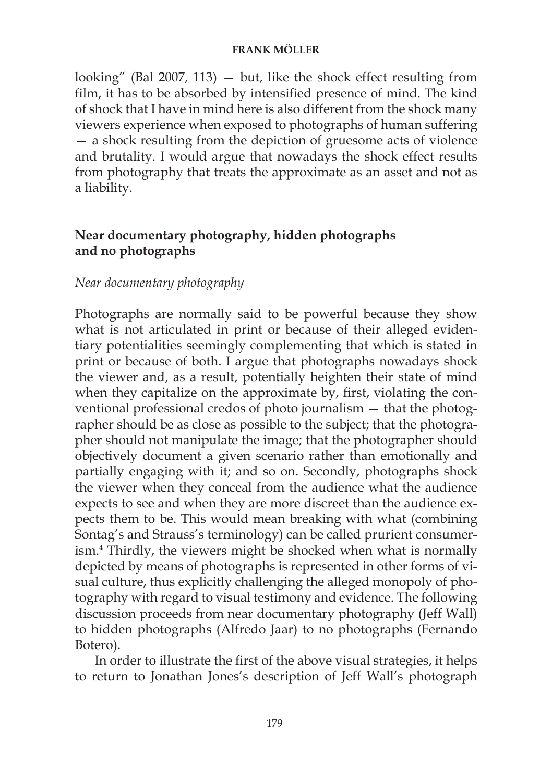looking" (Bal 2007, 113) — but, like the shock effect resulting from film, it has to be absorbed by intensified presence of mind. The kind of shock that I have in mind here is also different from the shock many viewers experience when exposed to photographs of human suffering — a shock resulting from the depiction of gruesome acts of violence and brutality. I would argue that nowadays the shock effect results from photography that treats the approximate as an asset and not as a liability.

# **Near documentary photography, hidden photographs and no photographs**

# *Near documentary photography*

Photographs are normally said to be powerful because they show what is not articulated in print or because of their alleged evidentiary potentialities seemingly complementing that which is stated in print or because of both. I argue that photographs nowadays shock the viewer and, as a result, potentially heighten their state of mind when they capitalize on the approximate by, first, violating the conventional professional credos of photo journalism — that the photographer should be as close as possible to the subject; that the photographer should not manipulate the image; that the photographer should objectively document a given scenario rather than emotionally and partially engaging with it; and so on. Secondly, photographs shock the viewer when they conceal from the audience what the audience expects to see and when they are more discreet than the audience expects them to be. This would mean breaking with what (combining Sontag's and Strauss's terminology) can be called prurient consumerism.4 Thirdly, the viewers might be shocked when what is normally depicted by means of photographs is represented in other forms of visual culture, thus explicitly challenging the alleged monopoly of photography with regard to visual testimony and evidence. The following discussion proceeds from near documentary photography (Jeff Wall) to hidden photographs (Alfredo Jaar) to no photographs (Fernando Botero).

In order to illustrate the first of the above visual strategies, it helps to return to Jonathan Jones's description of Jeff Wall's photograph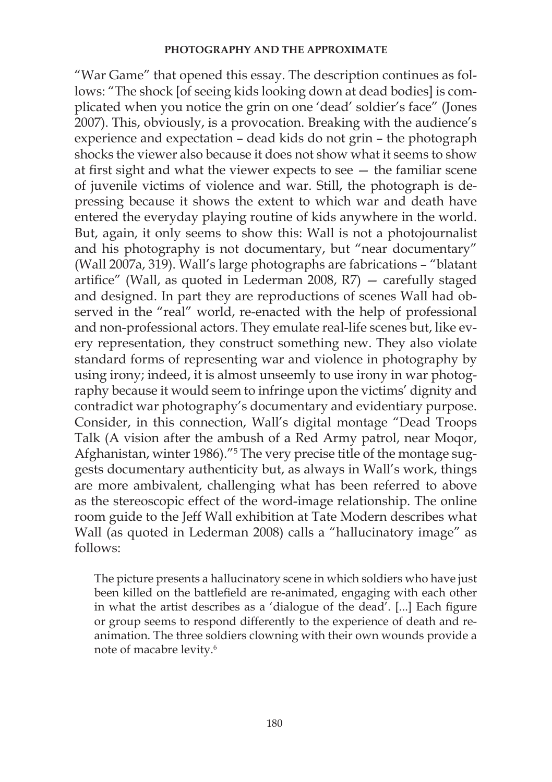"War Game" that opened this essay. The description continues as follows: "The shock [of seeing kids looking down at dead bodies] is complicated when you notice the grin on one 'dead' soldier's face" (Jones 2007). This, obviously, is a provocation. Breaking with the audience's experience and expectation – dead kids do not grin – the photograph shocks the viewer also because it does not show what it seems to show at first sight and what the viewer expects to see — the familiar scene of juvenile victims of violence and war. Still, the photograph is depressing because it shows the extent to which war and death have entered the everyday playing routine of kids anywhere in the world. But, again, it only seems to show this: Wall is not a photojournalist and his photography is not documentary, but "near documentary" (Wall 2007a, 319). Wall's large photographs are fabrications – "blatant artifice" (Wall, as quoted in Lederman 2008, R7) — carefully staged and designed. In part they are reproductions of scenes Wall had observed in the "real" world, re-enacted with the help of professional and non-professional actors. They emulate real-life scenes but, like every representation, they construct something new. They also violate standard forms of representing war and violence in photography by using irony; indeed, it is almost unseemly to use irony in war photography because it would seem to infringe upon the victims' dignity and contradict war photography's documentary and evidentiary purpose. Consider, in this connection, Wall's digital montage "Dead Troops Talk (A vision after the ambush of a Red Army patrol, near Moqor, Afghanistan, winter 1986)."<sup>5</sup> The very precise title of the montage suggests documentary authenticity but, as always in Wall's work, things are more ambivalent, challenging what has been referred to above as the stereoscopic effect of the word-image relationship. The online room guide to the Jeff Wall exhibition at Tate Modern describes what Wall (as quoted in Lederman 2008) calls a "hallucinatory image" as follows:

The picture presents a hallucinatory scene in which soldiers who have just been killed on the battlefield are re-animated, engaging with each other in what the artist describes as a 'dialogue of the dead'. [...] Each figure or group seems to respond differently to the experience of death and reanimation. The three soldiers clowning with their own wounds provide a note of macabre levity.6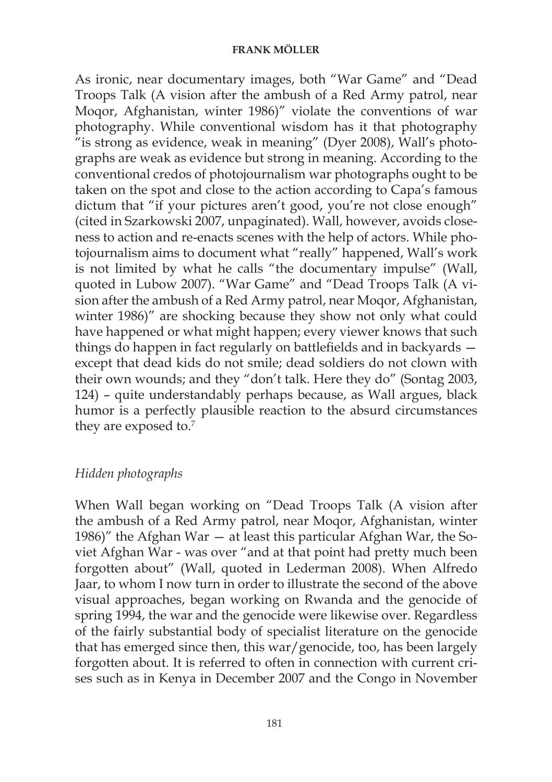As ironic, near documentary images, both "War Game" and "Dead Troops Talk (A vision after the ambush of a Red Army patrol, near Moqor, Afghanistan, winter 1986)" violate the conventions of war photography. While conventional wisdom has it that photography "is strong as evidence, weak in meaning" (Dyer 2008), Wall's photographs are weak as evidence but strong in meaning. According to the conventional credos of photojournalism war photographs ought to be taken on the spot and close to the action according to Capa's famous dictum that "if your pictures aren't good, you're not close enough" (cited in Szarkowski 2007, unpaginated). Wall, however, avoids closeness to action and re-enacts scenes with the help of actors. While photojournalism aims to document what "really" happened, Wall's work is not limited by what he calls "the documentary impulse" (Wall, quoted in Lubow 2007). "War Game" and "Dead Troops Talk (A vision after the ambush of a Red Army patrol, near Moqor, Afghanistan, winter 1986)" are shocking because they show not only what could have happened or what might happen; every viewer knows that such things do happen in fact regularly on battlefields and in backyards except that dead kids do not smile; dead soldiers do not clown with their own wounds; and they "don't talk. Here they do" (Sontag 2003, 124) – quite understandably perhaps because, as Wall argues, black humor is a perfectly plausible reaction to the absurd circumstances they are exposed to.7

# *Hidden photographs*

When Wall began working on "Dead Troops Talk (A vision after the ambush of a Red Army patrol, near Moqor, Afghanistan, winter 1986)" the Afghan War — at least this particular Afghan War, the Soviet Afghan War - was over "and at that point had pretty much been forgotten about" (Wall, quoted in Lederman 2008). When Alfredo Jaar, to whom I now turn in order to illustrate the second of the above visual approaches, began working on Rwanda and the genocide of spring 1994, the war and the genocide were likewise over. Regardless of the fairly substantial body of specialist literature on the genocide that has emerged since then, this war/genocide, too, has been largely forgotten about. It is referred to often in connection with current crises such as in Kenya in December 2007 and the Congo in November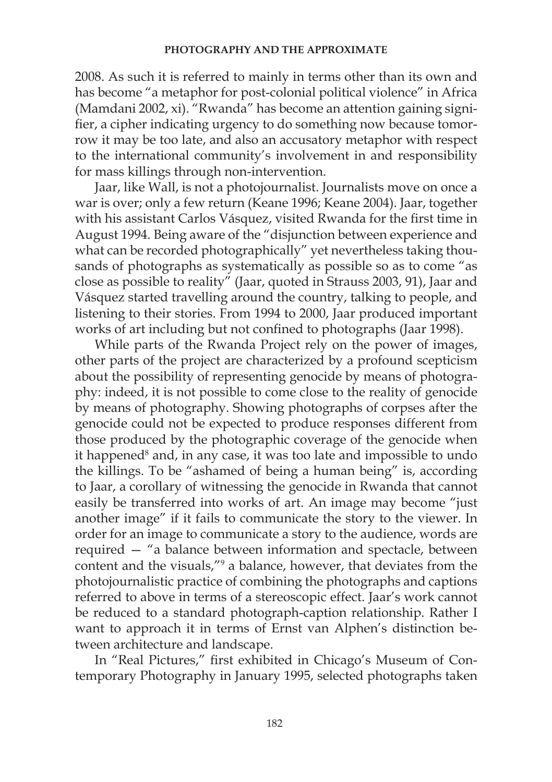2008. As such it is referred to mainly in terms other than its own and has become "a metaphor for post-colonial political violence" in Africa (Mamdani 2002, xi). "Rwanda" has become an attention gaining signifier, a cipher indicating urgency to do something now because tomorrow it may be too late, and also an accusatory metaphor with respect to the international community's involvement in and responsibility for mass killings through non-intervention.

Jaar, like Wall, is not a photojournalist. Journalists move on once a war is over; only a few return (Keane 1996; Keane 2004). Jaar, together with his assistant Carlos Vásquez, visited Rwanda for the first time in August 1994. Being aware of the "disjunction between experience and what can be recorded photographically" yet nevertheless taking thousands of photographs as systematically as possible so as to come "as close as possible to reality" (Jaar, quoted in Strauss 2003, 91), Jaar and Vásquez started travelling around the country, talking to people, and listening to their stories. From 1994 to 2000, Jaar produced important works of art including but not confined to photographs (Jaar 1998).

While parts of the Rwanda Project rely on the power of images, other parts of the project are characterized by a profound scepticism about the possibility of representing genocide by means of photography: indeed, it is not possible to come close to the reality of genocide by means of photography. Showing photographs of corpses after the genocide could not be expected to produce responses different from those produced by the photographic coverage of the genocide when it happened<sup>8</sup> and, in any case, it was too late and impossible to undo the killings. To be "ashamed of being a human being" is, according to Jaar, a corollary of witnessing the genocide in Rwanda that cannot easily be transferred into works of art. An image may become "just another image" if it fails to communicate the story to the viewer. In order for an image to communicate a story to the audience, words are required — "a balance between information and spectacle, between content and the visuals,"9 a balance, however, that deviates from the photojournalistic practice of combining the photographs and captions referred to above in terms of a stereoscopic effect. Jaar's work cannot be reduced to a standard photograph-caption relationship. Rather I want to approach it in terms of Ernst van Alphen's distinction between architecture and landscape.

In "Real Pictures," first exhibited in Chicago's Museum of Contemporary Photography in January 1995, selected photographs taken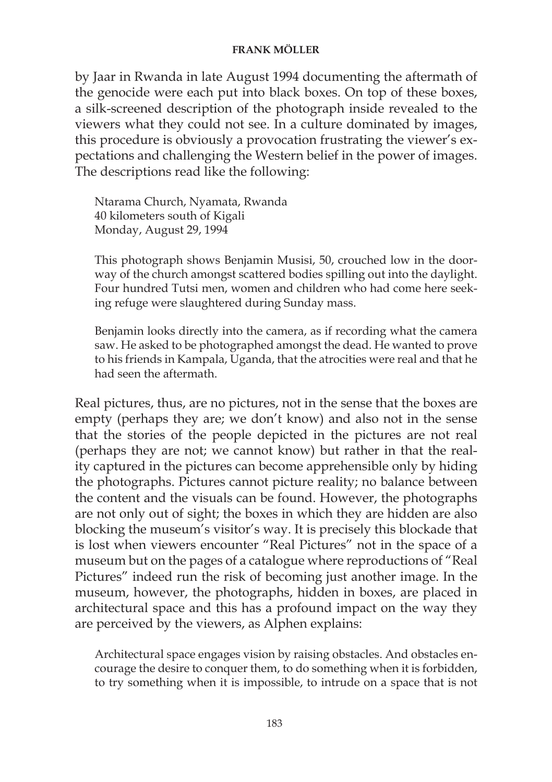by Jaar in Rwanda in late August 1994 documenting the aftermath of the genocide were each put into black boxes. On top of these boxes, a silk-screened description of the photograph inside revealed to the viewers what they could not see. In a culture dominated by images, this procedure is obviously a provocation frustrating the viewer's expectations and challenging the Western belief in the power of images. The descriptions read like the following:

Ntarama Church, Nyamata, Rwanda 40 kilometers south of Kigali Monday, August 29, 1994

This photograph shows Benjamin Musisi, 50, crouched low in the doorway of the church amongst scattered bodies spilling out into the daylight. Four hundred Tutsi men, women and children who had come here seeking refuge were slaughtered during Sunday mass.

Benjamin looks directly into the camera, as if recording what the camera saw. He asked to be photographed amongst the dead. He wanted to prove to his friends in Kampala, Uganda, that the atrocities were real and that he had seen the aftermath.

Real pictures, thus, are no pictures, not in the sense that the boxes are empty (perhaps they are; we don't know) and also not in the sense that the stories of the people depicted in the pictures are not real (perhaps they are not; we cannot know) but rather in that the reality captured in the pictures can become apprehensible only by hiding the photographs. Pictures cannot picture reality; no balance between the content and the visuals can be found. However, the photographs are not only out of sight; the boxes in which they are hidden are also blocking the museum's visitor's way. It is precisely this blockade that is lost when viewers encounter "Real Pictures" not in the space of a museum but on the pages of a catalogue where reproductions of "Real Pictures" indeed run the risk of becoming just another image. In the museum, however, the photographs, hidden in boxes, are placed in architectural space and this has a profound impact on the way they are perceived by the viewers, as Alphen explains:

Architectural space engages vision by raising obstacles. And obstacles encourage the desire to conquer them, to do something when it is forbidden, to try something when it is impossible, to intrude on a space that is not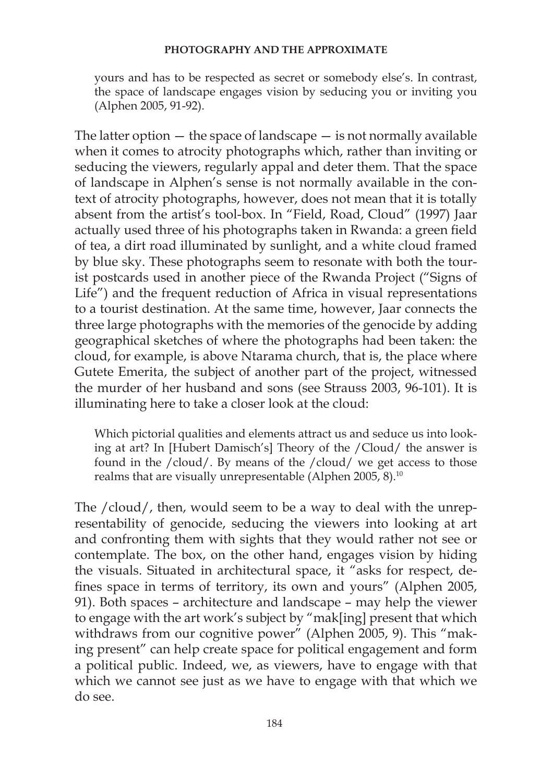yours and has to be respected as secret or somebody else's. In contrast, the space of landscape engages vision by seducing you or inviting you (Alphen 2005, 91-92).

The latter option  $-$  the space of landscape  $-$  is not normally available when it comes to atrocity photographs which, rather than inviting or seducing the viewers, regularly appal and deter them. That the space of landscape in Alphen's sense is not normally available in the context of atrocity photographs, however, does not mean that it is totally absent from the artist's tool-box. In "Field, Road, Cloud" (1997) Jaar actually used three of his photographs taken in Rwanda: a green field of tea, a dirt road illuminated by sunlight, and a white cloud framed by blue sky. These photographs seem to resonate with both the tourist postcards used in another piece of the Rwanda Project ("Signs of Life") and the frequent reduction of Africa in visual representations to a tourist destination. At the same time, however, Jaar connects the three large photographs with the memories of the genocide by adding geographical sketches of where the photographs had been taken: the cloud, for example, is above Ntarama church, that is, the place where Gutete Emerita, the subject of another part of the project, witnessed the murder of her husband and sons (see Strauss 2003, 96-101). It is illuminating here to take a closer look at the cloud:

Which pictorial qualities and elements attract us and seduce us into looking at art? In [Hubert Damisch's] Theory of the /Cloud/ the answer is found in the /cloud/. By means of the /cloud/ we get access to those realms that are visually unrepresentable (Alphen 2005, 8).10

The /cloud/, then, would seem to be a way to deal with the unrepresentability of genocide, seducing the viewers into looking at art and confronting them with sights that they would rather not see or contemplate. The box, on the other hand, engages vision by hiding the visuals. Situated in architectural space, it "asks for respect, defines space in terms of territory, its own and yours" (Alphen 2005, 91). Both spaces – architecture and landscape – may help the viewer to engage with the art work's subject by "mak[ing] present that which withdraws from our cognitive power" (Alphen 2005, 9). This "making present" can help create space for political engagement and form a political public. Indeed, we, as viewers, have to engage with that which we cannot see just as we have to engage with that which we do see.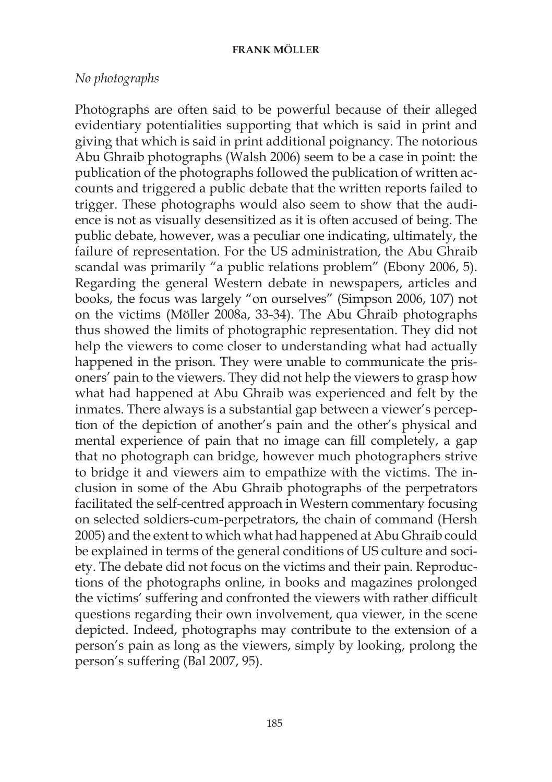# *No photographs*

Photographs are often said to be powerful because of their alleged evidentiary potentialities supporting that which is said in print and giving that which is said in print additional poignancy. The notorious Abu Ghraib photographs (Walsh 2006) seem to be a case in point: the publication of the photographs followed the publication of written accounts and triggered a public debate that the written reports failed to trigger. These photographs would also seem to show that the audience is not as visually desensitized as it is often accused of being. The public debate, however, was a peculiar one indicating, ultimately, the failure of representation. For the US administration, the Abu Ghraib scandal was primarily "a public relations problem" (Ebony 2006, 5). Regarding the general Western debate in newspapers, articles and books, the focus was largely "on ourselves" (Simpson 2006, 107) not on the victims (Möller 2008a, 33-34). The Abu Ghraib photographs thus showed the limits of photographic representation. They did not help the viewers to come closer to understanding what had actually happened in the prison. They were unable to communicate the prisoners' pain to the viewers. They did not help the viewers to grasp how what had happened at Abu Ghraib was experienced and felt by the inmates. There always is a substantial gap between a viewer's perception of the depiction of another's pain and the other's physical and mental experience of pain that no image can fill completely, a gap that no photograph can bridge, however much photographers strive to bridge it and viewers aim to empathize with the victims. The inclusion in some of the Abu Ghraib photographs of the perpetrators facilitated the self-centred approach in Western commentary focusing on selected soldiers-cum-perpetrators, the chain of command (Hersh 2005) and the extent to which what had happened at Abu Ghraib could be explained in terms of the general conditions of US culture and society. The debate did not focus on the victims and their pain. Reproductions of the photographs online, in books and magazines prolonged the victims' suffering and confronted the viewers with rather difficult questions regarding their own involvement, qua viewer, in the scene depicted. Indeed, photographs may contribute to the extension of a person's pain as long as the viewers, simply by looking, prolong the person's suffering (Bal 2007, 95).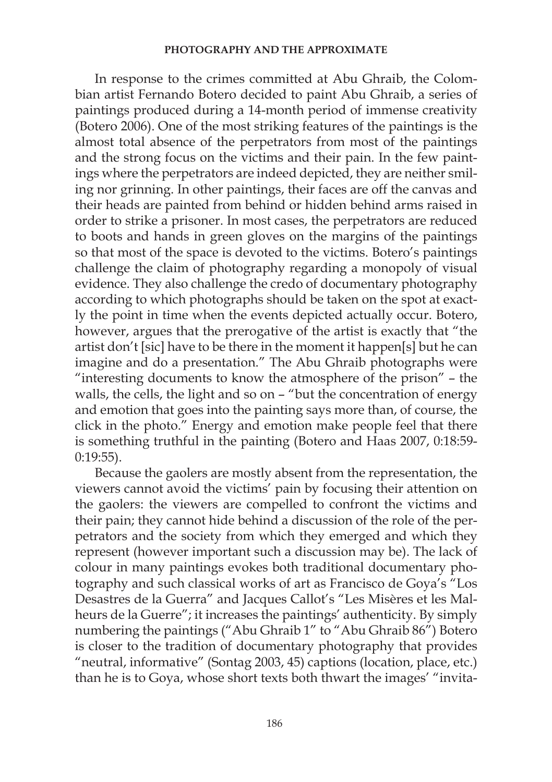In response to the crimes committed at Abu Ghraib, the Colombian artist Fernando Botero decided to paint Abu Ghraib, a series of paintings produced during a 14-month period of immense creativity (Botero 2006). One of the most striking features of the paintings is the almost total absence of the perpetrators from most of the paintings and the strong focus on the victims and their pain. In the few paintings where the perpetrators are indeed depicted, they are neither smiling nor grinning. In other paintings, their faces are off the canvas and their heads are painted from behind or hidden behind arms raised in order to strike a prisoner. In most cases, the perpetrators are reduced to boots and hands in green gloves on the margins of the paintings so that most of the space is devoted to the victims. Botero's paintings challenge the claim of photography regarding a monopoly of visual evidence. They also challenge the credo of documentary photography according to which photographs should be taken on the spot at exactly the point in time when the events depicted actually occur. Botero, however, argues that the prerogative of the artist is exactly that "the artist don't [sic] have to be there in the moment it happen[s] but he can imagine and do a presentation." The Abu Ghraib photographs were "interesting documents to know the atmosphere of the prison" – the walls, the cells, the light and so on – "but the concentration of energy and emotion that goes into the painting says more than, of course, the click in the photo." Energy and emotion make people feel that there is something truthful in the painting (Botero and Haas 2007, 0:18:59- 0:19:55).

Because the gaolers are mostly absent from the representation, the viewers cannot avoid the victims' pain by focusing their attention on the gaolers: the viewers are compelled to confront the victims and their pain; they cannot hide behind a discussion of the role of the perpetrators and the society from which they emerged and which they represent (however important such a discussion may be). The lack of colour in many paintings evokes both traditional documentary photography and such classical works of art as Francisco de Goya's "Los Desastres de la Guerra" and Jacques Callot's "Les Misères et les Malheurs de la Guerre"; it increases the paintings' authenticity. By simply numbering the paintings ("Abu Ghraib 1" to "Abu Ghraib 86") Botero is closer to the tradition of documentary photography that provides "neutral, informative" (Sontag 2003, 45) captions (location, place, etc.) than he is to Goya, whose short texts both thwart the images' "invita-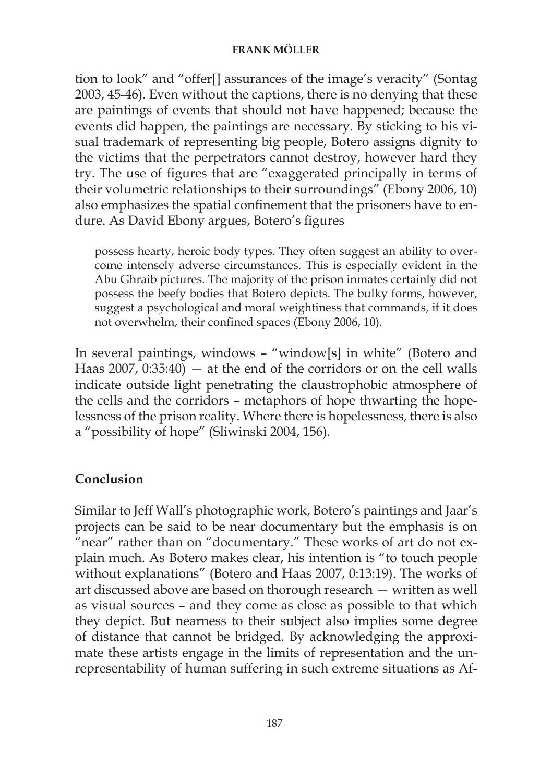tion to look" and "offer[] assurances of the image's veracity" (Sontag 2003, 45-46). Even without the captions, there is no denying that these are paintings of events that should not have happened; because the events did happen, the paintings are necessary. By sticking to his visual trademark of representing big people, Botero assigns dignity to the victims that the perpetrators cannot destroy, however hard they try. The use of figures that are "exaggerated principally in terms of their volumetric relationships to their surroundings" (Ebony 2006, 10) also emphasizes the spatial confinement that the prisoners have to endure. As David Ebony argues, Botero's figures

possess hearty, heroic body types. They often suggest an ability to overcome intensely adverse circumstances. This is especially evident in the Abu Ghraib pictures. The majority of the prison inmates certainly did not possess the beefy bodies that Botero depicts. The bulky forms, however, suggest a psychological and moral weightiness that commands, if it does not overwhelm, their confined spaces (Ebony 2006, 10).

In several paintings, windows – "window[s] in white" (Botero and Haas  $2007, 0.35:40$  – at the end of the corridors or on the cell walls indicate outside light penetrating the claustrophobic atmosphere of the cells and the corridors – metaphors of hope thwarting the hopelessness of the prison reality. Where there is hopelessness, there is also a "possibility of hope" (Sliwinski 2004, 156).

# **Conclusion**

Similar to Jeff Wall's photographic work, Botero's paintings and Jaar's projects can be said to be near documentary but the emphasis is on "near" rather than on "documentary." These works of art do not explain much. As Botero makes clear, his intention is "to touch people without explanations" (Botero and Haas 2007, 0:13:19). The works of art discussed above are based on thorough research — written as well as visual sources – and they come as close as possible to that which they depict. But nearness to their subject also implies some degree of distance that cannot be bridged. By acknowledging the approximate these artists engage in the limits of representation and the unrepresentability of human suffering in such extreme situations as Af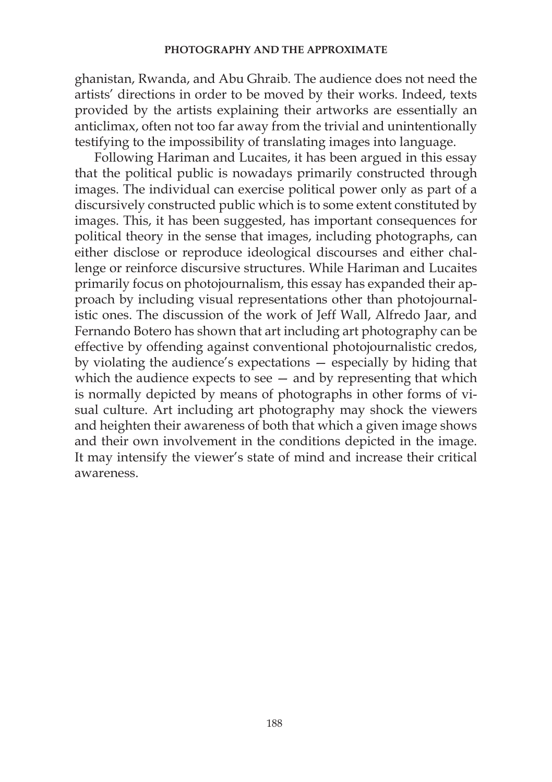ghanistan, Rwanda, and Abu Ghraib. The audience does not need the artists' directions in order to be moved by their works. Indeed, texts provided by the artists explaining their artworks are essentially an anticlimax, often not too far away from the trivial and unintentionally testifying to the impossibility of translating images into language.

Following Hariman and Lucaites, it has been argued in this essay that the political public is nowadays primarily constructed through images. The individual can exercise political power only as part of a discursively constructed public which is to some extent constituted by images. This, it has been suggested, has important consequences for political theory in the sense that images, including photographs, can either disclose or reproduce ideological discourses and either challenge or reinforce discursive structures. While Hariman and Lucaites primarily focus on photojournalism, this essay has expanded their approach by including visual representations other than photojournalistic ones. The discussion of the work of Jeff Wall, Alfredo Jaar, and Fernando Botero has shown that art including art photography can be effective by offending against conventional photojournalistic credos, by violating the audience's expectations — especially by hiding that which the audience expects to see  $-$  and by representing that which is normally depicted by means of photographs in other forms of visual culture. Art including art photography may shock the viewers and heighten their awareness of both that which a given image shows and their own involvement in the conditions depicted in the image. It may intensify the viewer's state of mind and increase their critical awareness.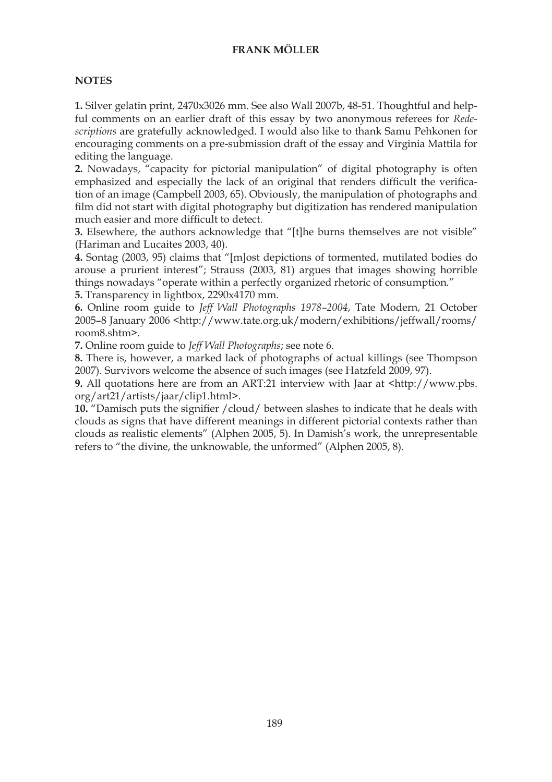## **NOTES**

**1.** Silver gelatin print, 2470x3026 mm. See also Wall 2007b, 48-51. Thoughtful and helpful comments on an earlier draft of this essay by two anonymous referees for *Redescriptions* are gratefully acknowledged. I would also like to thank Samu Pehkonen for encouraging comments on a pre-submission draft of the essay and Virginia Mattila for editing the language.

**2.** Nowadays, "capacity for pictorial manipulation" of digital photography is often emphasized and especially the lack of an original that renders difficult the verification of an image (Campbell 2003, 65). Obviously, the manipulation of photographs and film did not start with digital photography but digitization has rendered manipulation much easier and more difficult to detect.

**3.** Elsewhere, the authors acknowledge that "[t]he burns themselves are not visible" (Hariman and Lucaites 2003, 40).

**4.** Sontag (2003, 95) claims that "[m]ost depictions of tormented, mutilated bodies do arouse a prurient interest"; Strauss (2003, 81) argues that images showing horrible things nowadays "operate within a perfectly organized rhetoric of consumption."

**5.** Transparency in lightbox, 2290x4170 mm.

**6.** Online room guide to *Jeff Wall Photographs 1978–2004*, Tate Modern, 21 October 2005–8 January 2006 <http://www.tate.org.uk/modern/exhibitions/jeffwall/rooms/ room8.shtm>.

**7.** Online room guide to *Jeff Wall Photographs*; see note 6.

**8.** There is, however, a marked lack of photographs of actual killings (see Thompson 2007). Survivors welcome the absence of such images (see Hatzfeld 2009, 97).

**9.** All quotations here are from an ART:21 interview with Jaar at <http://www.pbs. org/art21/artists/jaar/clip1.html>.

**10.** "Damisch puts the signifier /cloud/ between slashes to indicate that he deals with clouds as signs that have different meanings in different pictorial contexts rather than clouds as realistic elements" (Alphen 2005, 5). In Damish's work, the unrepresentable refers to "the divine, the unknowable, the unformed" (Alphen 2005, 8).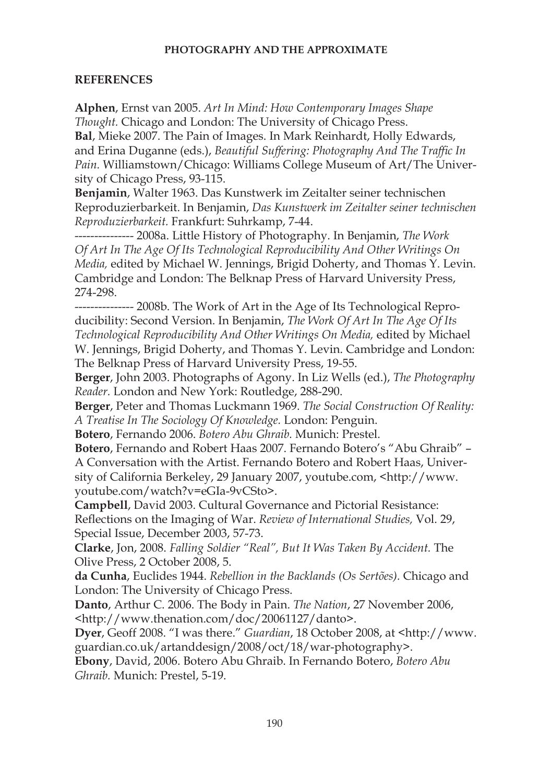## **REFERENCES**

**Alphen**, Ernst van 2005. *Art In Mind: How Contemporary Images Shape Thought.* Chicago and London: The University of Chicago Press. **Bal**, Mieke 2007. The Pain of Images. In Mark Reinhardt, Holly Edwards, and Erina Duganne (eds.), *Beautiful Suffering: Photography And The Traffic In Pain.* Williamstown/Chicago: Williams College Museum of Art/The University of Chicago Press, 93-115.

**Benjamin**, Walter 1963. Das Kunstwerk im Zeitalter seiner technischen Reproduzierbarkeit. In Benjamin, *Das Kunstwerk im Zeitalter seiner technischen Reproduzierbarkeit.* Frankfurt: Suhrkamp, 7-44.

--------------- 2008a. Little History of Photography. In Benjamin, *The Work Of Art In The Age Of Its Technological Reproducibility And Other Writings On Media,* edited by Michael W. Jennings, Brigid Doherty, and Thomas Y. Levin. Cambridge and London: The Belknap Press of Harvard University Press, 274-298.

--------------- 2008b. The Work of Art in the Age of Its Technological Reproducibility: Second Version. In Benjamin, *The Work Of Art In The Age Of Its Technological Reproducibility And Other Writings On Media,* edited by Michael W. Jennings, Brigid Doherty, and Thomas Y. Levin. Cambridge and London: The Belknap Press of Harvard University Press, 19-55.

**Berger**, John 2003. Photographs of Agony. In Liz Wells (ed.), *The Photography Reader.* London and New York: Routledge, 288-290.

**Berger**, Peter and Thomas Luckmann 1969. *The Social Construction Of Reality: A Treatise In The Sociology Of Knowledge.* London: Penguin.

**Botero**, Fernando 2006. *Botero Abu Ghraib.* Munich: Prestel.

**Botero**, Fernando and Robert Haas 2007. Fernando Botero's "Abu Ghraib" – A Conversation with the Artist. Fernando Botero and Robert Haas, University of California Berkeley, 29 January 2007, youtube.com, <http://www. youtube.com/watch?v=eGIa-9vCSto>.

**Campbell**, David 2003. Cultural Governance and Pictorial Resistance: Reflections on the Imaging of War. *Review of International Studies,* Vol. 29, Special Issue, December 2003, 57-73.

**Clarke**, Jon, 2008. *Falling Soldier "Real", But It Was Taken By Accident.* The Olive Press, 2 October 2008, 5.

**da Cunha**, Euclides 1944. *Rebellion in the Backlands (Os Sertões).* Chicago and London: The University of Chicago Press.

**Danto**, Arthur C. 2006. The Body in Pain. *The Nation*, 27 November 2006, <http://www.thenation.com/doc/20061127/danto>.

**Dyer**, Geoff 2008. "I was there." *Guardian*, 18 October 2008, at <http://www. guardian.co.uk/artanddesign/2008/oct/18/war-photography>.

**Ebony**, David, 2006. Botero Abu Ghraib. In Fernando Botero, *Botero Abu Ghraib.* Munich: Prestel, 5-19.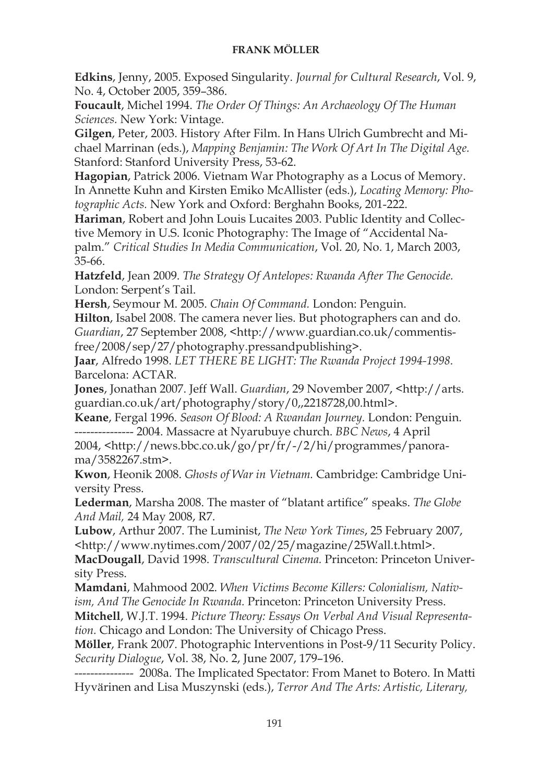**Edkins**, Jenny, 2005. Exposed Singularity. *Journal for Cultural Research*, Vol. 9, No. 4, October 2005, 359–386.

**Foucault**, Michel 1994. *The Order Of Things: An Archaeology Of The Human Sciences.* New York: Vintage.

**Gilgen**, Peter, 2003. History After Film. In Hans Ulrich Gumbrecht and Michael Marrinan (eds.), *Mapping Benjamin: The Work Of Art In The Digital Age.*  Stanford: Stanford University Press, 53-62.

**Hagopian**, Patrick 2006. Vietnam War Photography as a Locus of Memory. In Annette Kuhn and Kirsten Emiko McAllister (eds.), *Locating Memory: Photographic Acts.* New York and Oxford: Berghahn Books, 201-222.

**Hariman**, Robert and John Louis Lucaites 2003. Public Identity and Collective Memory in U.S. Iconic Photography: The Image of "Accidental Napalm." *Critical Studies In Media Communication*, Vol. 20, No. 1, March 2003, 35-66.

**Hatzfeld**, Jean 2009. *The Strategy Of Antelopes: Rwanda After The Genocide.* London: Serpent's Tail.

**Hersh**, Seymour M. 2005. *Chain Of Command.* London: Penguin.

**Hilton**, Isabel 2008. The camera never lies. But photographers can and do. *Guardian*, 27 September 2008, <http://www.guardian.co.uk/commentisfree/2008/sep/27/photography.pressandpublishing>.

**Jaar**, Alfredo 1998. *LET THERE BE LIGHT: The Rwanda Project 1994-1998.* Barcelona: ACTAR.

**Jones**, Jonathan 2007. Jeff Wall. *Guardian*, 29 November 2007, <http://arts. guardian.co.uk/art/photography/story/0,,2218728,00.html>.

**Keane**, Fergal 1996. *Season Of Blood: A Rwandan Journey.* London: Penguin. --------------- 2004. Massacre at Nyarubuye church. *BBC News*, 4 April

2004, <http://news.bbc.co.uk/go/pr/fr/-/2/hi/programmes/panorama/3582267.stm>.

**Kwon**, Heonik 2008. *Ghosts of War in Vietnam.* Cambridge: Cambridge University Press.

**Lederman**, Marsha 2008. The master of "blatant artifice" speaks. *The Globe And Mail,* 24 May 2008, R7.

**Lubow**, Arthur 2007. The Luminist, *The New York Times*, 25 February 2007, <http://www.nytimes.com/2007/02/25/magazine/25Wall.t.html>.

**MacDougall**, David 1998. *Transcultural Cinema.* Princeton: Princeton University Press.

**Mamdani**, Mahmood 2002. *When Victims Become Killers: Colonialism, Nativism, And The Genocide In Rwanda.* Princeton: Princeton University Press.

**Mitchell**, W.J.T. 1994. *Picture Theory: Essays On Verbal And Visual Representation.* Chicago and London: The University of Chicago Press.

**Möller**, Frank 2007. Photographic Interventions in Post-9/11 Security Policy. *Security Dialogue*, Vol. 38, No. 2, June 2007, 179–196.

--------------- 2008a. The Implicated Spectator: From Manet to Botero. In Matti Hyvärinen and Lisa Muszynski (eds.), *Terror And The Arts: Artistic, Literary,*